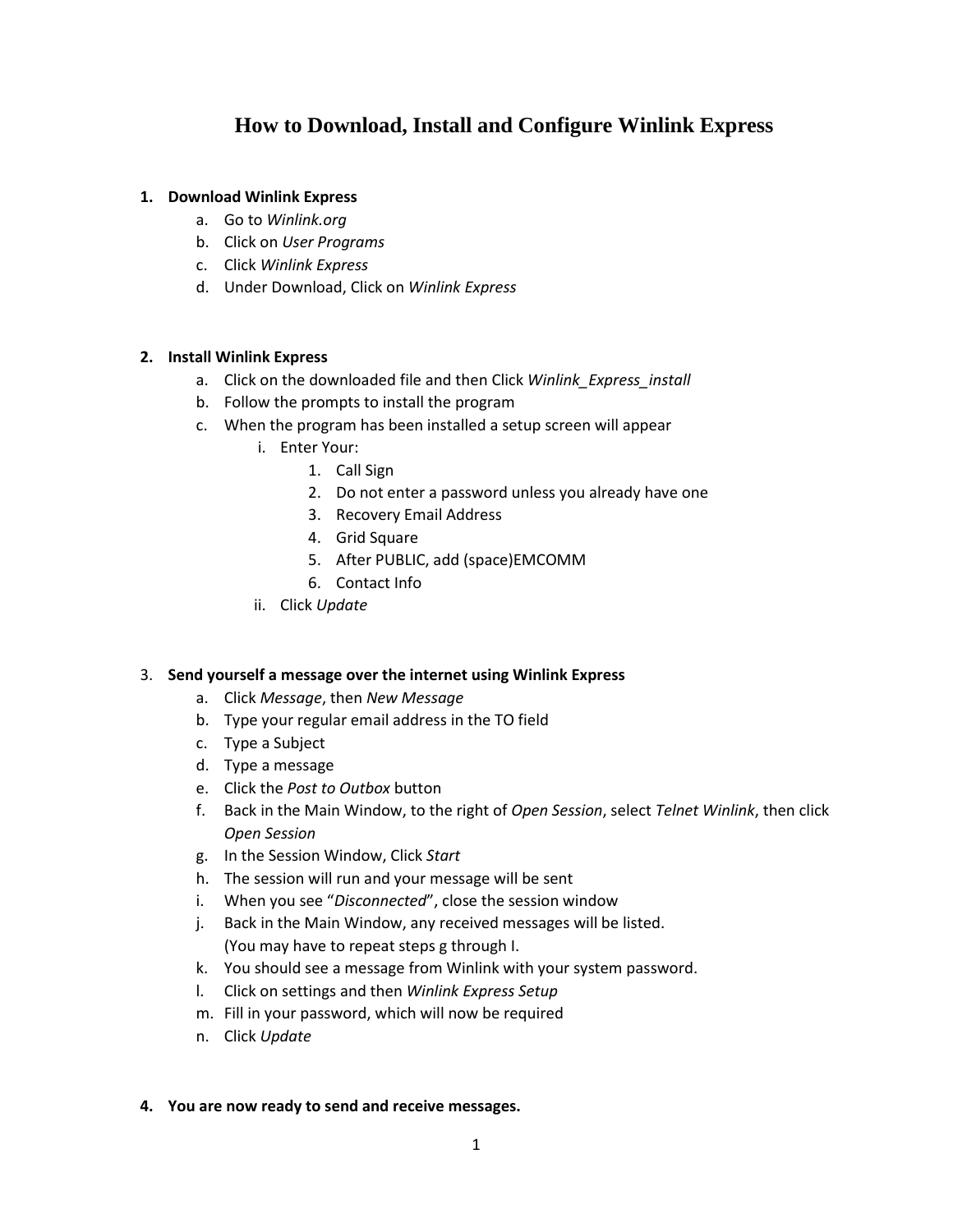## **How to Download, Install and Configure Winlink Express**

### **1. Download Winlink Express**

- a. Go to *Winlink.org*
- b. Click on *User Programs*
- c. Click *Winlink Express*
- d. Under Download, Click on *Winlink Express*

#### **2. Install Winlink Express**

- a. Click on the downloaded file and then Click *Winlink\_Express\_install*
- b. Follow the prompts to install the program
- c. When the program has been installed a setup screen will appear
	- i. Enter Your:
		- 1. Call Sign
		- 2. Do not enter a password unless you already have one
		- 3. Recovery Email Address
		- 4. Grid Square
		- 5. After PUBLIC, add (space)EMCOMM
		- 6. Contact Info
	- ii. Click *Update*

#### 3. **Send yourself a message over the internet using Winlink Express**

- a. Click *Message*, then *New Message*
- b. Type your regular email address in the TO field
- c. Type a Subject
- d. Type a message
- e. Click the *Post to Outbox* button
- f. Back in the Main Window, to the right of *Open Session*, select *Telnet Winlink*, then click *Open Session*
- g. In the Session Window, Click *Start*
- h. The session will run and your message will be sent
- i. When you see "*Disconnected*", close the session window
- j. Back in the Main Window, any received messages will be listed. (You may have to repeat steps g through I.
- k. You should see a message from Winlink with your system password.
- l. Click on settings and then *Winlink Express Setup*
- m. Fill in your password, which will now be required
- n. Click *Update*

#### **4. You are now ready to send and receive messages.**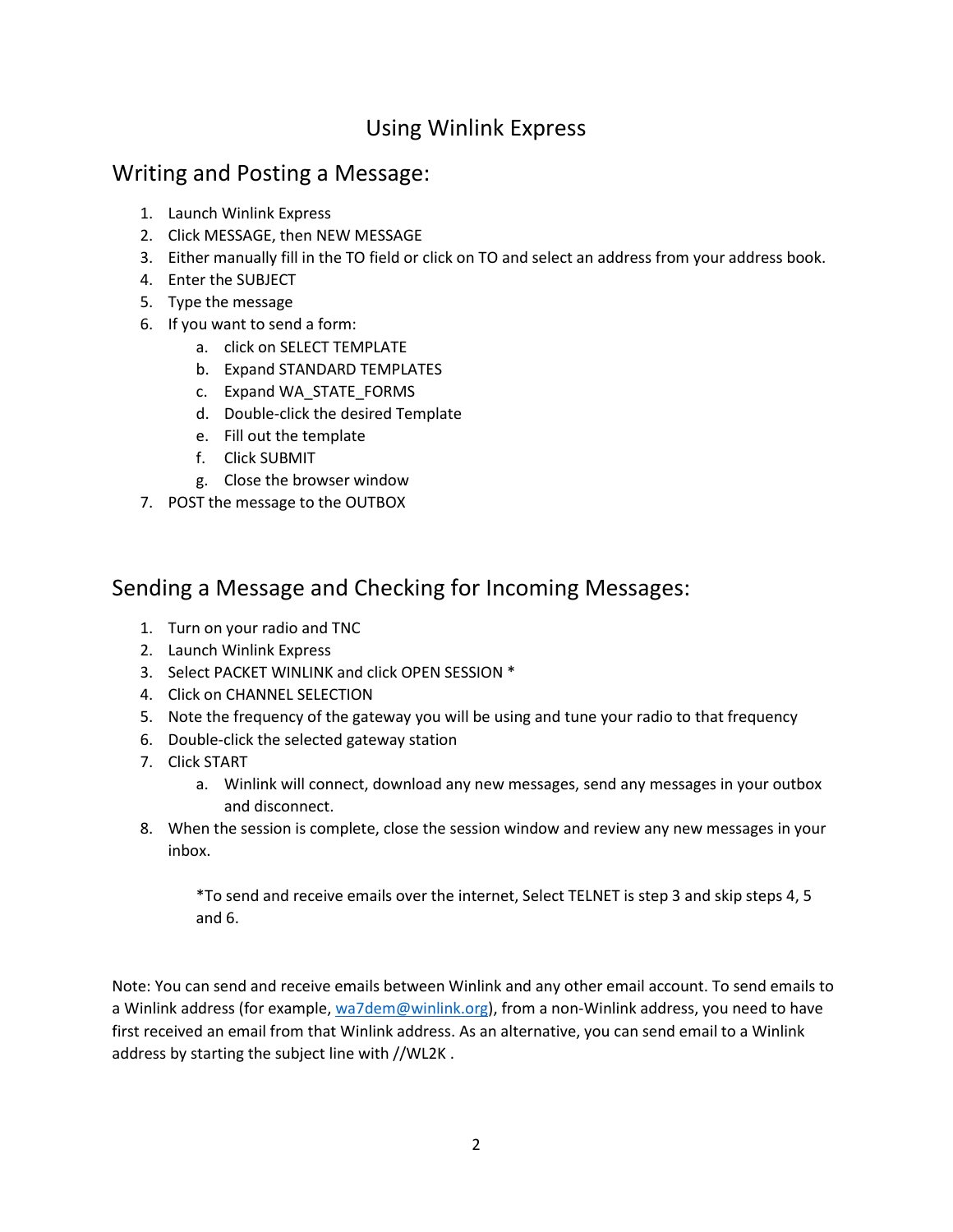# Using Winlink Express

# Writing and Posting a Message:

- 1. Launch Winlink Express
- 2. Click MESSAGE, then NEW MESSAGE
- 3. Either manually fill in the TO field or click on TO and select an address from your address book.
- 4. Enter the SUBJECT
- 5. Type the message
- 6. If you want to send a form:
	- a. click on SELECT TEMPLATE
	- b. Expand STANDARD TEMPLATES
	- c. Expand WA\_STATE\_FORMS
	- d. Double-click the desired Template
	- e. Fill out the template
	- f. Click SUBMIT
	- g. Close the browser window
- 7. POST the message to the OUTBOX

## Sending a Message and Checking for Incoming Messages:

- 1. Turn on your radio and TNC
- 2. Launch Winlink Express
- 3. Select PACKET WINLINK and click OPEN SESSION \*
- 4. Click on CHANNEL SELECTION
- 5. Note the frequency of the gateway you will be using and tune your radio to that frequency
- 6. Double-click the selected gateway station
- 7. Click START
	- a. Winlink will connect, download any new messages, send any messages in your outbox and disconnect.
- 8. When the session is complete, close the session window and review any new messages in your inbox.

\*To send and receive emails over the internet, Select TELNET is step 3 and skip steps 4, 5 and 6.

Note: You can send and receive emails between Winlink and any other email account. To send emails to a Winlink address (for example[, wa7dem@winlink.org\)](mailto:wa7dem@winlink.org), from a non-Winlink address, you need to have first received an email from that Winlink address. As an alternative, you can send email to a Winlink address by starting the subject line with //WL2K .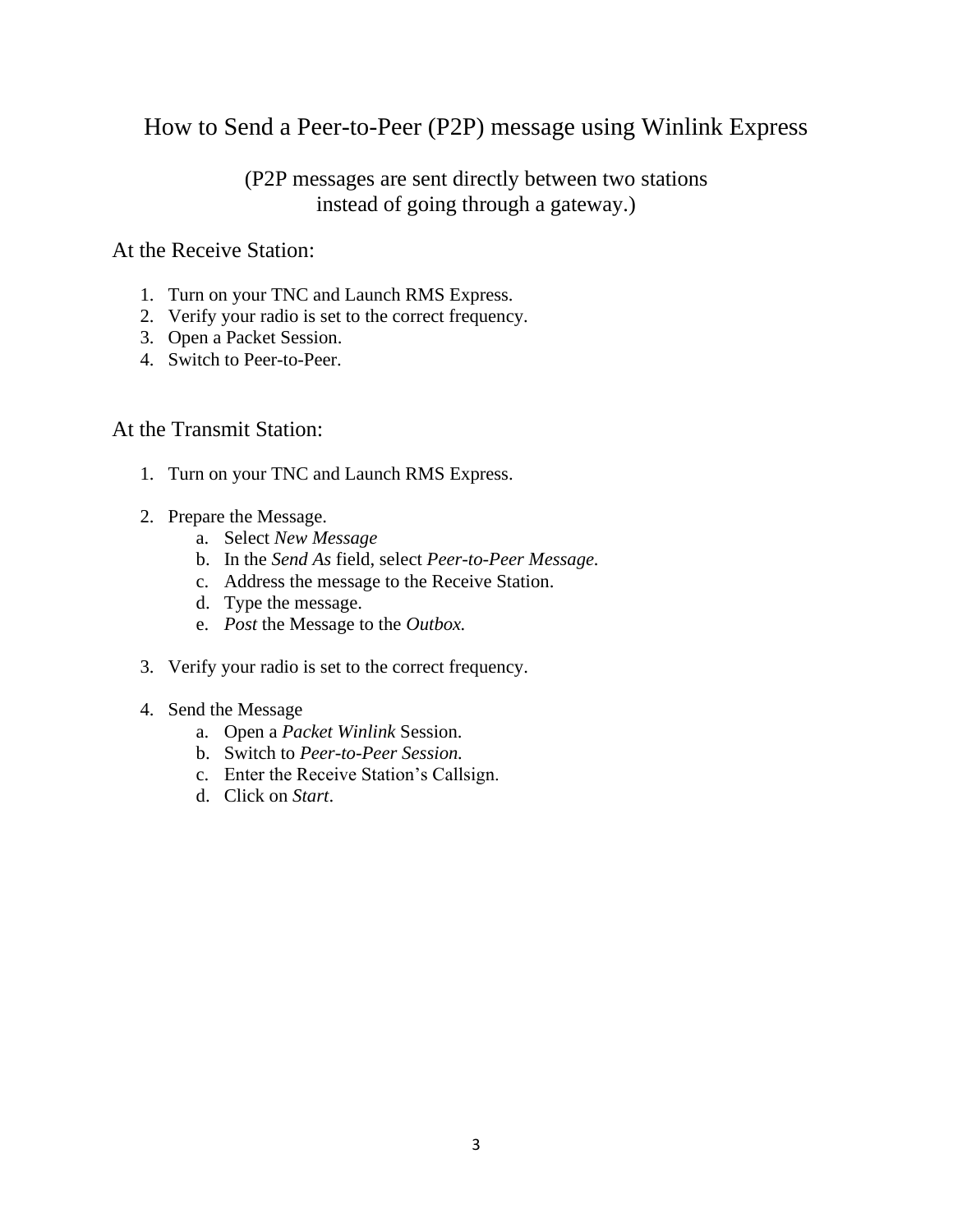# How to Send a Peer-to-Peer (P2P) message using Winlink Express

## (P2P messages are sent directly between two stations instead of going through a gateway.)

### At the Receive Station:

- 1. Turn on your TNC and Launch RMS Express.
- 2. Verify your radio is set to the correct frequency.
- 3. Open a Packet Session.
- 4. Switch to Peer-to-Peer.

### At the Transmit Station:

- 1. Turn on your TNC and Launch RMS Express.
- 2. Prepare the Message.
	- a. Select *New Message*
	- b. In the *Send As* field, select *Peer-to-Peer Message.*
	- c. Address the message to the Receive Station.
	- d. Type the message.
	- e. *Post* the Message to the *Outbox.*
- 3. Verify your radio is set to the correct frequency.
- 4. Send the Message
	- a. Open a *Packet Winlink* Session.
	- b. Switch to *Peer-to-Peer Session.*
	- c. Enter the Receive Station's Callsign.
	- d. Click on *Start*.